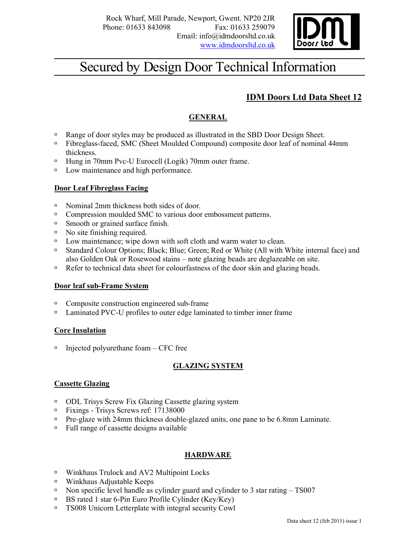

# Secured by Design Door Technical Information

# IDM Doors Ltd Data Sheet 12

# GENERAL

- **Range of door styles may be produced as illustrated in the SBD Door Design Sheet.**
- Fibreglass-faced, SMC (Sheet Moulded Compound) composite door leaf of nominal 44mm thickness.
- □ Hung in 70mm Pvc-U Eurocell (Logik) 70mm outer frame.
- Dow maintenance and high performance.

### Door Leaf Fibreglass Facing

- $\Box$  Nominal 2mm thickness both sides of door.
- <sup>n</sup> Compression moulded SMC to various door embossment patterns.
- <sup> $\Box$ </sup> Smooth or grained surface finish.
- <sup>o</sup> No site finishing required.
- □ Low maintenance; wipe down with soft cloth and warm water to clean.
- Standard Colour Options; Black; Blue; Green; Red or White (All with White internal face) and also Golden Oak or Rosewood stains – note glazing beads are deglazeable on site.
- Refer to technical data sheet for colourfastness of the door skin and glazing beads.

### Door leaf sub-Frame System

- $\Box$  Composite construction engineered sub-frame
- <sup>n</sup> Laminated PVC-U profiles to outer edge laminated to timber inner frame

### Core Insulation

 $\Box$  Injected polyurethane foam – CFC free

### GLAZING SYSTEM

### Cassette Glazing

- ODL Trisys Screw Fix Glazing Cassette glazing system
- Fixings Trisys Screws ref: 17138000
- Pre-glaze with 24mm thickness double-glazed units, one pane to be 6.8mm Laminate.
- Full range of cassette designs available

### HARDWARE

- □ Winkhaus Trulock and AV2 Multipoint Locks
- Winkhaus Adjustable Keeps
- Non specific level handle as cylinder guard and cylinder to 3 star rating  $-$  TS007
- BS rated 1 star 6-Pin Euro Profile Cylinder (Key/Key)
- □ TS008 Unicorn Letterplate with integral security Cowl